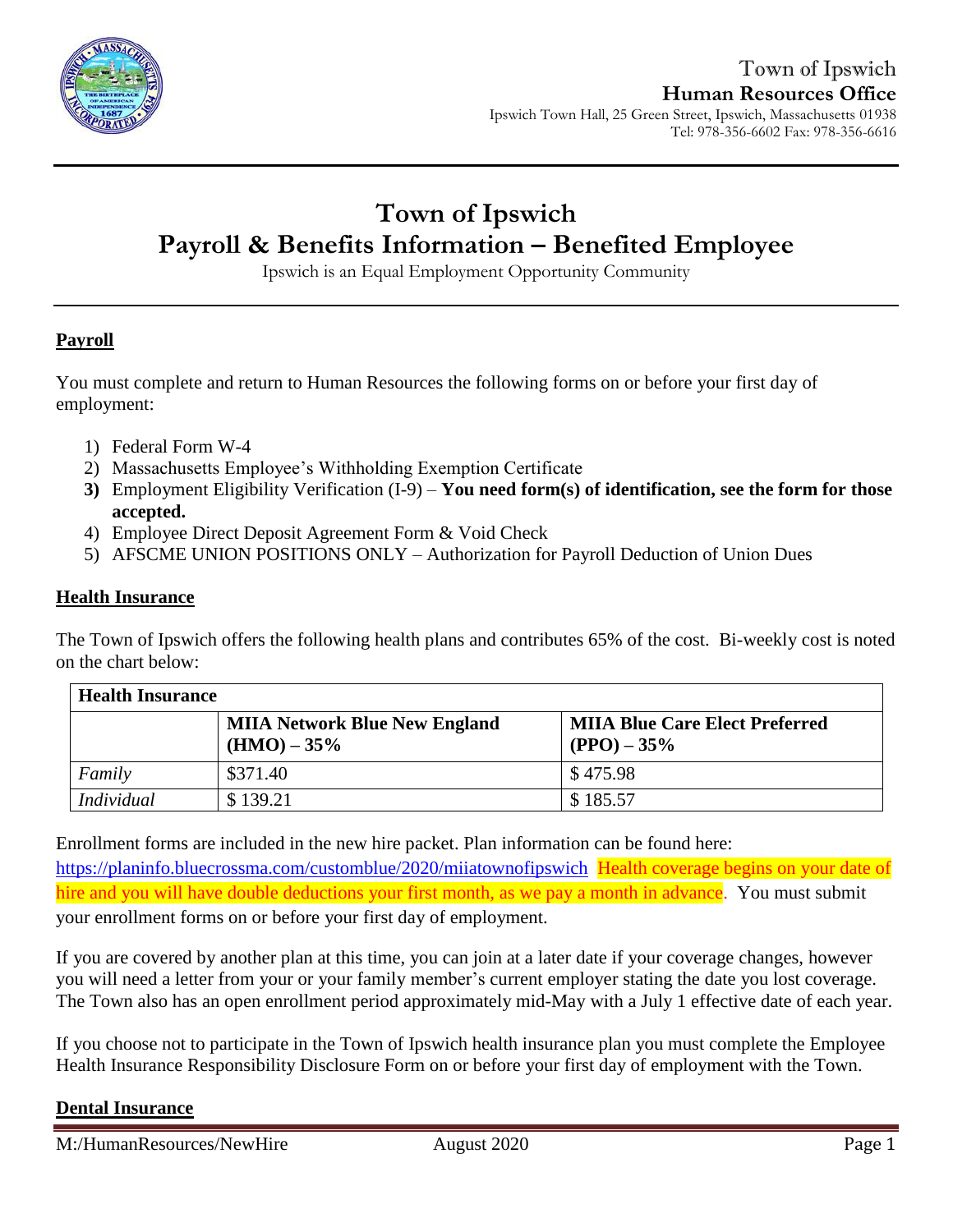

# **Town of Ipswich Payroll & Benefits Information – Benefited Employee**

Ipswich is an Equal Employment Opportunity Community

## **Payroll**

You must complete and return to Human Resources the following forms on or before your first day of employment:

- 1) Federal Form W-4
- 2) Massachusetts Employee's Withholding Exemption Certificate
- **3)** Employment Eligibility Verification (I-9) **You need form(s) of identification, see the form for those accepted.**
- 4) Employee Direct Deposit Agreement Form & Void Check
- 5) AFSCME UNION POSITIONS ONLY Authorization for Payroll Deduction of Union Dues

#### **Health Insurance**

The Town of Ipswich offers the following health plans and contributes 65% of the cost. Bi-weekly cost is noted on the chart below:

| <b>Health Insurance</b> |                                                        |                                                         |  |
|-------------------------|--------------------------------------------------------|---------------------------------------------------------|--|
|                         | <b>MIIA Network Blue New England</b><br>$(HMO) - 35\%$ | <b>MIIA Blue Care Elect Preferred</b><br>$(PPO) - 35\%$ |  |
| Family                  | \$371.40                                               | \$475.98                                                |  |
| <i>Individual</i>       | \$139.21                                               | \$185.57                                                |  |

Enrollment forms are included in the new hire packet. Plan information can be found here: <https://planinfo.bluecrossma.com/customblue/2020/miiatownofipswich>Health coverage begins on your date of hire and you will have double deductions your first month, as we pay a month in advance. You must submit your enrollment forms on or before your first day of employment.

If you are covered by another plan at this time, you can join at a later date if your coverage changes, however you will need a letter from your or your family member's current employer stating the date you lost coverage. The Town also has an open enrollment period approximately mid-May with a July 1 effective date of each year.

If you choose not to participate in the Town of Ipswich health insurance plan you must complete the Employee Health Insurance Responsibility Disclosure Form on or before your first day of employment with the Town.

### **Dental Insurance**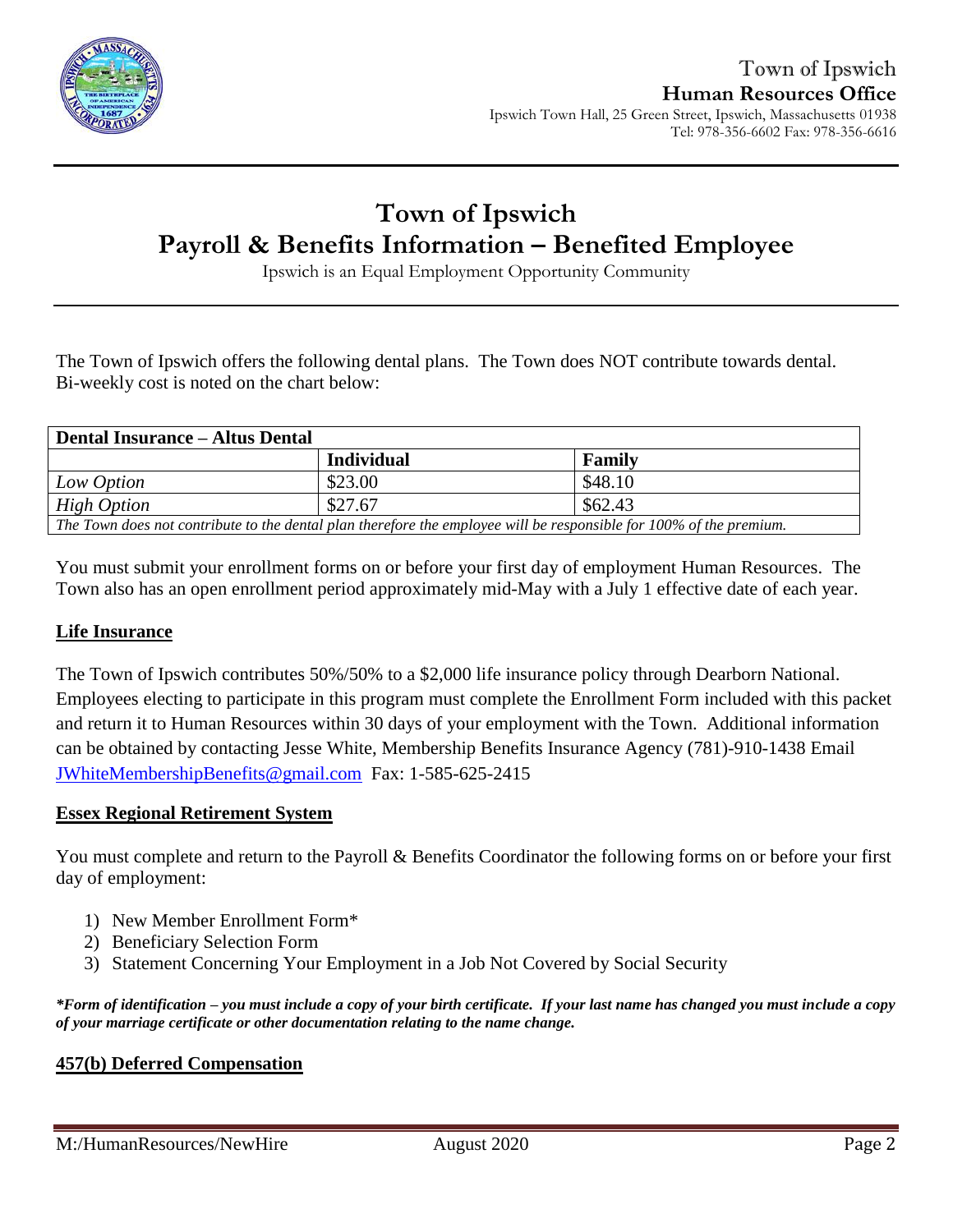

# **Town of Ipswich Payroll & Benefits Information – Benefited Employee**

Ipswich is an Equal Employment Opportunity Community

The Town of Ipswich offers the following dental plans. The Town does NOT contribute towards dental. Bi-weekly cost is noted on the chart below:

| <b>Dental Insurance – Altus Dental</b>                                                                              |            |         |  |
|---------------------------------------------------------------------------------------------------------------------|------------|---------|--|
|                                                                                                                     | Individual | Family  |  |
| Low Option                                                                                                          | \$23.00    | \$48.10 |  |
| High Option                                                                                                         | \$27.67    | \$62.43 |  |
| The Town does not contribute to the dental plan therefore the employee will be responsible for 100% of the premium. |            |         |  |

You must submit your enrollment forms on or before your first day of employment Human Resources. The Town also has an open enrollment period approximately mid-May with a July 1 effective date of each year.

### **Life Insurance**

The Town of Ipswich contributes 50%/50% to a \$2,000 life insurance policy through Dearborn National. Employees electing to participate in this program must complete the Enrollment Form included with this packet and return it to Human Resources within 30 days of your employment with the Town. Additional information can be obtained by contacting Jesse White, Membership Benefits Insurance Agency (781)-910-1438 Email [JWhiteMembershipBenefits@gmail.com](mailto:JWhiteMembershipBenefits@gmail.com)Fax: 1-585-625-2415

#### **Essex Regional Retirement System**

You must complete and return to the Payroll & Benefits Coordinator the following forms on or before your first day of employment:

- 1) New Member Enrollment Form\*
- 2) Beneficiary Selection Form
- 3) Statement Concerning Your Employment in a Job Not Covered by Social Security

*\*Form of identification – you must include a copy of your birth certificate. If your last name has changed you must include a copy of your marriage certificate or other documentation relating to the name change.*

#### **457(b) Deferred Compensation**

M:/HumanResources/NewHire August 2020 August 2020